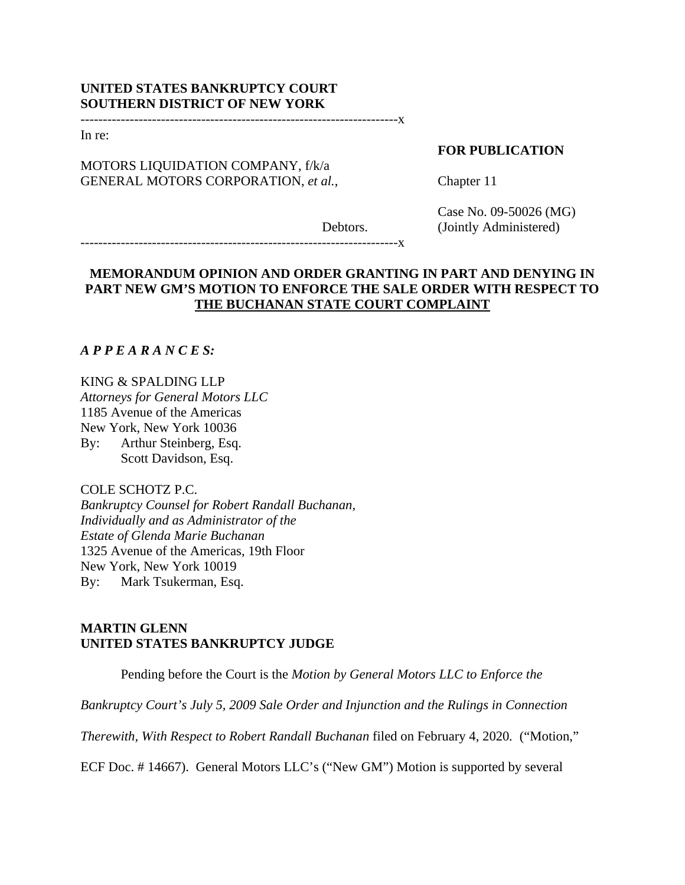# **UNITED STATES BANKRUPTCY COURT SOUTHERN DISTRICT OF NEW YORK**

-----------------------------------------------------------------------x

In re:

# MOTORS LIQUIDATION COMPANY, f/k/a GENERAL MOTORS CORPORATION, *et al.*,

## **FOR PUBLICATION**

Chapter 11

Case No. 09-50026 (MG) (Jointly Administered)

-----------------------------------------------------------------------x

# **MEMORANDUM OPINION AND ORDER GRANTING IN PART AND DENYING IN PART NEW GM'S MOTION TO ENFORCE THE SALE ORDER WITH RESPECT TO THE BUCHANAN STATE COURT COMPLAINT**

Debtors.

# *A P P E A R A N C E S:*

### KING & SPALDING LLP

*Attorneys for General Motors LLC*  1185 Avenue of the Americas New York, New York 10036 By: Arthur Steinberg, Esq. Scott Davidson, Esq.

## COLE SCHOTZ P.C.

*Bankruptcy Counsel for Robert Randall Buchanan, Individually and as Administrator of the Estate of Glenda Marie Buchanan* 1325 Avenue of the Americas, 19th Floor New York, New York 10019 By: Mark Tsukerman, Esq.

## **MARTIN GLENN UNITED STATES BANKRUPTCY JUDGE**

Pending before the Court is the *Motion by General Motors LLC to Enforce the* 

*Bankruptcy Court's July 5, 2009 Sale Order and Injunction and the Rulings in Connection* 

*Therewith, With Respect to Robert Randall Buchanan* filed on February 4, 2020*.* ("Motion,"

ECF Doc. # 14667). General Motors LLC's ("New GM") Motion is supported by several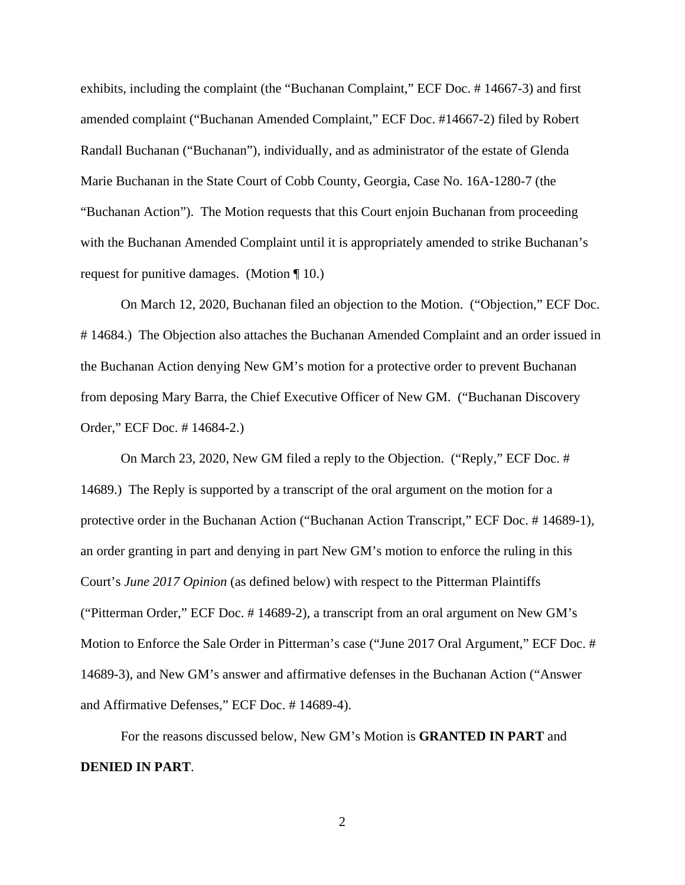exhibits, including the complaint (the "Buchanan Complaint," ECF Doc. # 14667-3) and first amended complaint ("Buchanan Amended Complaint," ECF Doc. #14667-2) filed by Robert Randall Buchanan ("Buchanan"), individually, and as administrator of the estate of Glenda Marie Buchanan in the State Court of Cobb County, Georgia, Case No. 16A-1280-7 (the "Buchanan Action"). The Motion requests that this Court enjoin Buchanan from proceeding with the Buchanan Amended Complaint until it is appropriately amended to strike Buchanan's request for punitive damages. (Motion ¶ 10.)

 On March 12, 2020, Buchanan filed an objection to the Motion. ("Objection," ECF Doc. # 14684.) The Objection also attaches the Buchanan Amended Complaint and an order issued in the Buchanan Action denying New GM's motion for a protective order to prevent Buchanan from deposing Mary Barra, the Chief Executive Officer of New GM. ("Buchanan Discovery Order," ECF Doc. # 14684-2.)

 On March 23, 2020, New GM filed a reply to the Objection. ("Reply," ECF Doc. # 14689.) The Reply is supported by a transcript of the oral argument on the motion for a protective order in the Buchanan Action ("Buchanan Action Transcript," ECF Doc. # 14689-1), an order granting in part and denying in part New GM's motion to enforce the ruling in this Court's *June 2017 Opinion* (as defined below) with respect to the Pitterman Plaintiffs ("Pitterman Order," ECF Doc. # 14689-2), a transcript from an oral argument on New GM's Motion to Enforce the Sale Order in Pitterman's case ("June 2017 Oral Argument," ECF Doc. # 14689-3), and New GM's answer and affirmative defenses in the Buchanan Action ("Answer and Affirmative Defenses," ECF Doc. # 14689-4).

For the reasons discussed below, New GM's Motion is **GRANTED IN PART** and **DENIED IN PART**.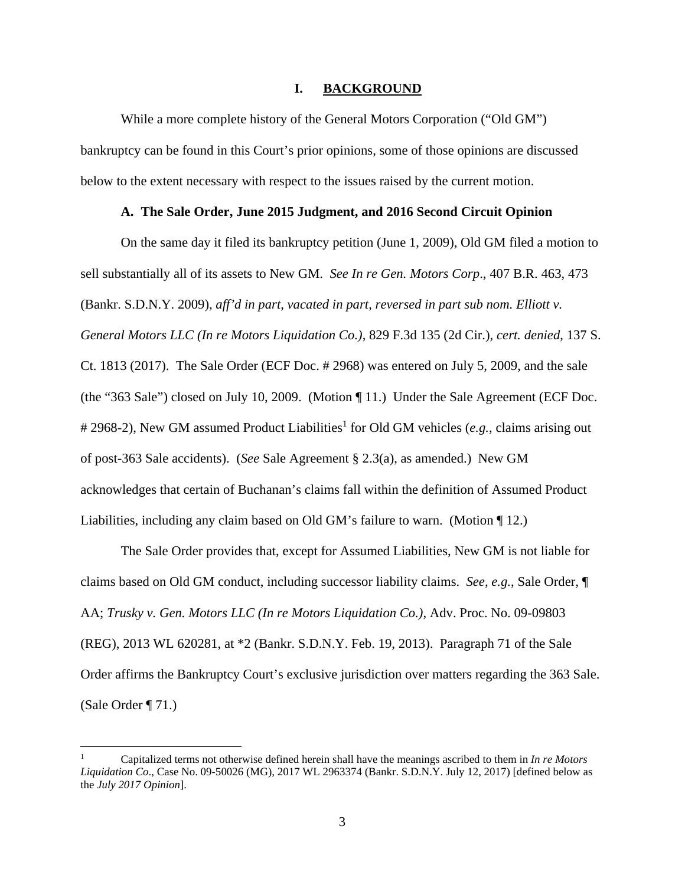#### **I. BACKGROUND**

While a more complete history of the General Motors Corporation ("Old GM") bankruptcy can be found in this Court's prior opinions, some of those opinions are discussed below to the extent necessary with respect to the issues raised by the current motion.

## **A. The Sale Order, June 2015 Judgment, and 2016 Second Circuit Opinion**

On the same day it filed its bankruptcy petition (June 1, 2009), Old GM filed a motion to sell substantially all of its assets to New GM. *See In re Gen. Motors Corp*., 407 B.R. 463, 473 (Bankr. S.D.N.Y. 2009), *aff'd in part, vacated in part, reversed in part sub nom. Elliott v. General Motors LLC (In re Motors Liquidation Co.)*, 829 F.3d 135 (2d Cir.), *cert. denied*, 137 S. Ct. 1813 (2017). The Sale Order (ECF Doc. # 2968) was entered on July 5, 2009, and the sale (the "363 Sale") closed on July 10, 2009. (Motion ¶ 11.) Under the Sale Agreement (ECF Doc. # 2968-2), New GM assumed Product Liabilities<sup>1</sup> for Old GM vehicles (e.g., claims arising out of post-363 Sale accidents). (*See* Sale Agreement § 2.3(a), as amended.) New GM acknowledges that certain of Buchanan's claims fall within the definition of Assumed Product Liabilities, including any claim based on Old GM's failure to warn. (Motion ¶ 12.)

The Sale Order provides that, except for Assumed Liabilities, New GM is not liable for claims based on Old GM conduct, including successor liability claims. *See, e.g.*, Sale Order, ¶ AA; *Trusky v. Gen. Motors LLC (In re Motors Liquidation Co.)*, Adv. Proc. No. 09-09803 (REG), 2013 WL 620281, at \*2 (Bankr. S.D.N.Y. Feb. 19, 2013). Paragraph 71 of the Sale Order affirms the Bankruptcy Court's exclusive jurisdiction over matters regarding the 363 Sale. (Sale Order ¶ 71.)

<sup>1</sup> Capitalized terms not otherwise defined herein shall have the meanings ascribed to them in *In re Motors Liquidation Co*., Case No. 09-50026 (MG), 2017 WL 2963374 (Bankr. S.D.N.Y. July 12, 2017) [defined below as the *July 2017 Opinion*].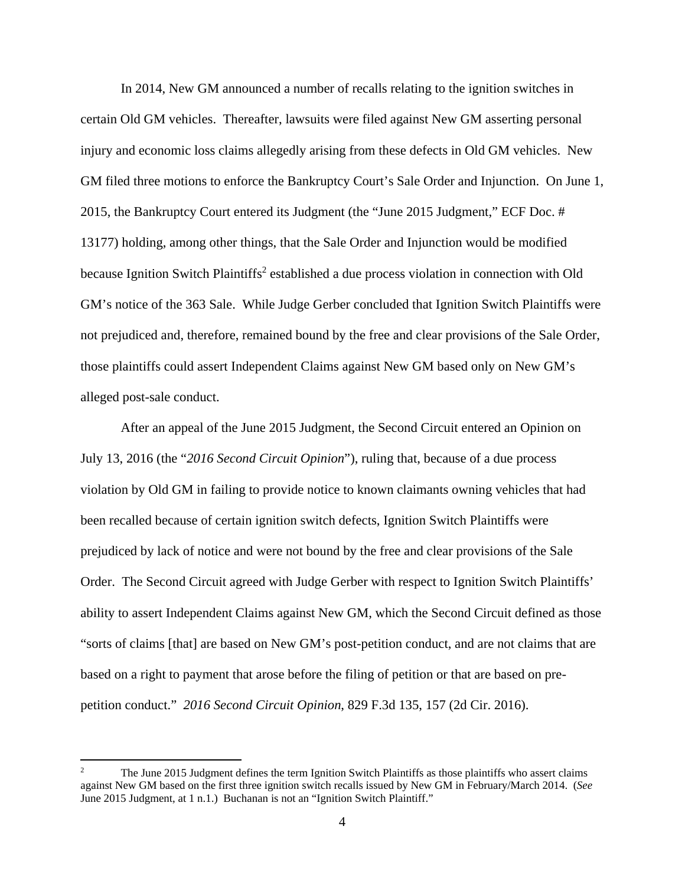In 2014, New GM announced a number of recalls relating to the ignition switches in certain Old GM vehicles. Thereafter, lawsuits were filed against New GM asserting personal injury and economic loss claims allegedly arising from these defects in Old GM vehicles. New GM filed three motions to enforce the Bankruptcy Court's Sale Order and Injunction. On June 1, 2015, the Bankruptcy Court entered its Judgment (the "June 2015 Judgment," ECF Doc. # 13177) holding, among other things, that the Sale Order and Injunction would be modified because Ignition Switch Plaintiffs<sup>2</sup> established a due process violation in connection with Old GM's notice of the 363 Sale. While Judge Gerber concluded that Ignition Switch Plaintiffs were not prejudiced and, therefore, remained bound by the free and clear provisions of the Sale Order, those plaintiffs could assert Independent Claims against New GM based only on New GM's alleged post-sale conduct.

After an appeal of the June 2015 Judgment, the Second Circuit entered an Opinion on July 13, 2016 (the "*2016 Second Circuit Opinion*"), ruling that, because of a due process violation by Old GM in failing to provide notice to known claimants owning vehicles that had been recalled because of certain ignition switch defects, Ignition Switch Plaintiffs were prejudiced by lack of notice and were not bound by the free and clear provisions of the Sale Order. The Second Circuit agreed with Judge Gerber with respect to Ignition Switch Plaintiffs' ability to assert Independent Claims against New GM, which the Second Circuit defined as those "sorts of claims [that] are based on New GM's post-petition conduct, and are not claims that are based on a right to payment that arose before the filing of petition or that are based on prepetition conduct." *2016 Second Circuit Opinion*, 829 F.3d 135, 157 (2d Cir. 2016).

<sup>2</sup> The June 2015 Judgment defines the term Ignition Switch Plaintiffs as those plaintiffs who assert claims against New GM based on the first three ignition switch recalls issued by New GM in February/March 2014. (*See* June 2015 Judgment, at 1 n.1.) Buchanan is not an "Ignition Switch Plaintiff."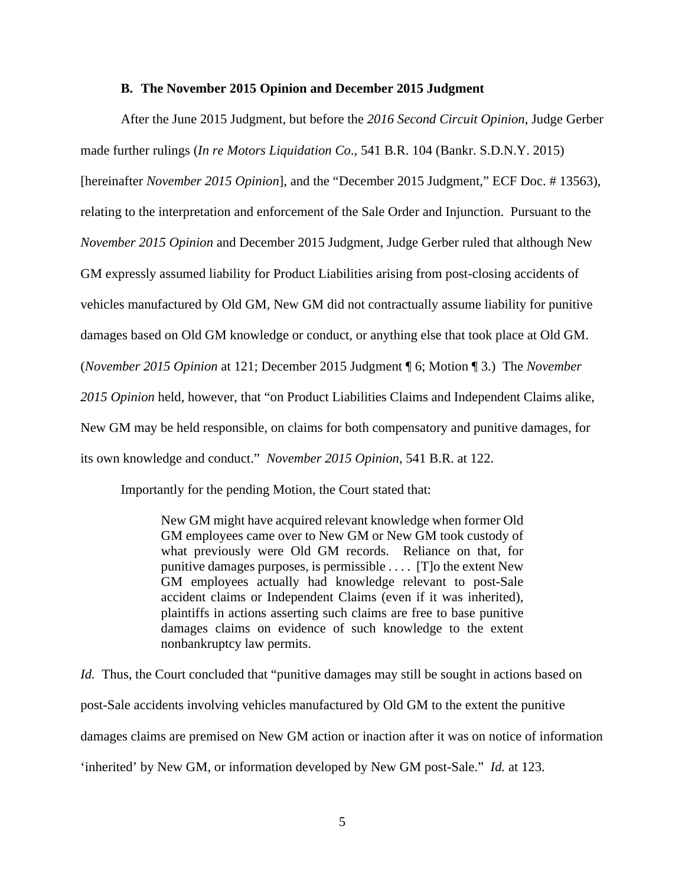#### **B. The November 2015 Opinion and December 2015 Judgment**

After the June 2015 Judgment, but before the *2016 Second Circuit Opinion*, Judge Gerber made further rulings (*In re Motors Liquidation Co*., 541 B.R. 104 (Bankr. S.D.N.Y. 2015) [hereinafter *November 2015 Opinion*], and the "December 2015 Judgment," ECF Doc. # 13563), relating to the interpretation and enforcement of the Sale Order and Injunction. Pursuant to the *November 2015 Opinion* and December 2015 Judgment, Judge Gerber ruled that although New GM expressly assumed liability for Product Liabilities arising from post-closing accidents of vehicles manufactured by Old GM, New GM did not contractually assume liability for punitive damages based on Old GM knowledge or conduct, or anything else that took place at Old GM. (*November 2015 Opinion* at 121; December 2015 Judgment ¶ 6; Motion ¶ 3.) The *November 2015 Opinion* held, however, that "on Product Liabilities Claims and Independent Claims alike, New GM may be held responsible, on claims for both compensatory and punitive damages, for its own knowledge and conduct." *November 2015 Opinion*, 541 B.R. at 122.

Importantly for the pending Motion, the Court stated that:

New GM might have acquired relevant knowledge when former Old GM employees came over to New GM or New GM took custody of what previously were Old GM records. Reliance on that, for punitive damages purposes, is permissible . . . . [T]o the extent New GM employees actually had knowledge relevant to post-Sale accident claims or Independent Claims (even if it was inherited), plaintiffs in actions asserting such claims are free to base punitive damages claims on evidence of such knowledge to the extent nonbankruptcy law permits.

*Id.* Thus, the Court concluded that "punitive damages may still be sought in actions based on post-Sale accidents involving vehicles manufactured by Old GM to the extent the punitive damages claims are premised on New GM action or inaction after it was on notice of information 'inherited' by New GM, or information developed by New GM post-Sale." *Id.* at 123.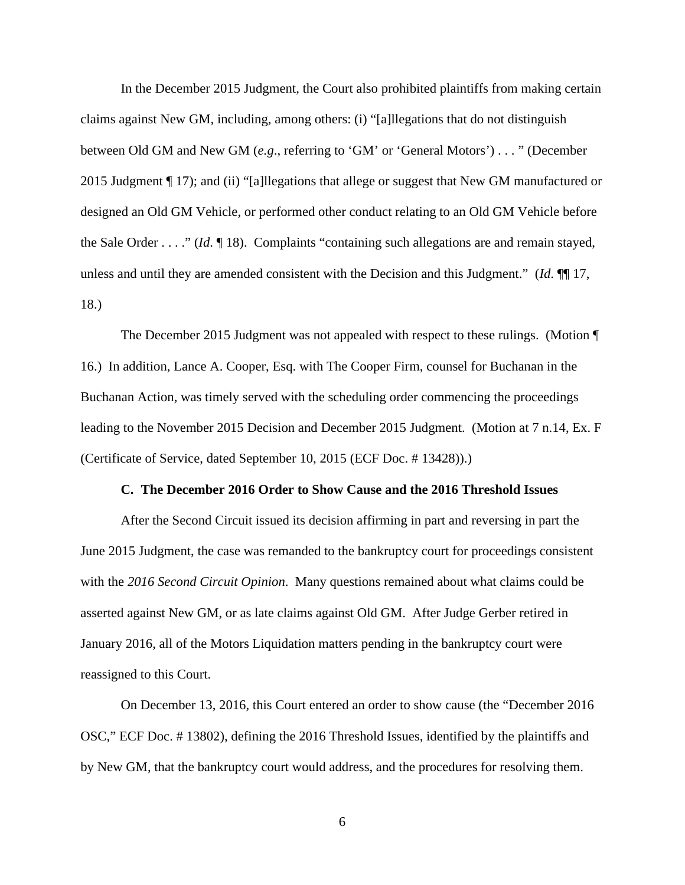In the December 2015 Judgment, the Court also prohibited plaintiffs from making certain claims against New GM, including, among others: (i) "[a]llegations that do not distinguish between Old GM and New GM (*e.g*., referring to 'GM' or 'General Motors') . . . " (December 2015 Judgment ¶ 17); and (ii) "[a]llegations that allege or suggest that New GM manufactured or designed an Old GM Vehicle, or performed other conduct relating to an Old GM Vehicle before the Sale Order . . . ." (*Id*. ¶ 18). Complaints "containing such allegations are and remain stayed, unless and until they are amended consistent with the Decision and this Judgment." (*Id*. ¶¶ 17, 18.)

The December 2015 Judgment was not appealed with respect to these rulings. (Motion ¶ 16.) In addition, Lance A. Cooper, Esq. with The Cooper Firm, counsel for Buchanan in the Buchanan Action, was timely served with the scheduling order commencing the proceedings leading to the November 2015 Decision and December 2015 Judgment. (Motion at 7 n.14, Ex. F (Certificate of Service, dated September 10, 2015 (ECF Doc. # 13428)).)

### **C. The December 2016 Order to Show Cause and the 2016 Threshold Issues**

After the Second Circuit issued its decision affirming in part and reversing in part the June 2015 Judgment, the case was remanded to the bankruptcy court for proceedings consistent with the *2016 Second Circuit Opinion*. Many questions remained about what claims could be asserted against New GM, or as late claims against Old GM. After Judge Gerber retired in January 2016, all of the Motors Liquidation matters pending in the bankruptcy court were reassigned to this Court.

On December 13, 2016, this Court entered an order to show cause (the "December 2016 OSC," ECF Doc. # 13802), defining the 2016 Threshold Issues, identified by the plaintiffs and by New GM, that the bankruptcy court would address, and the procedures for resolving them.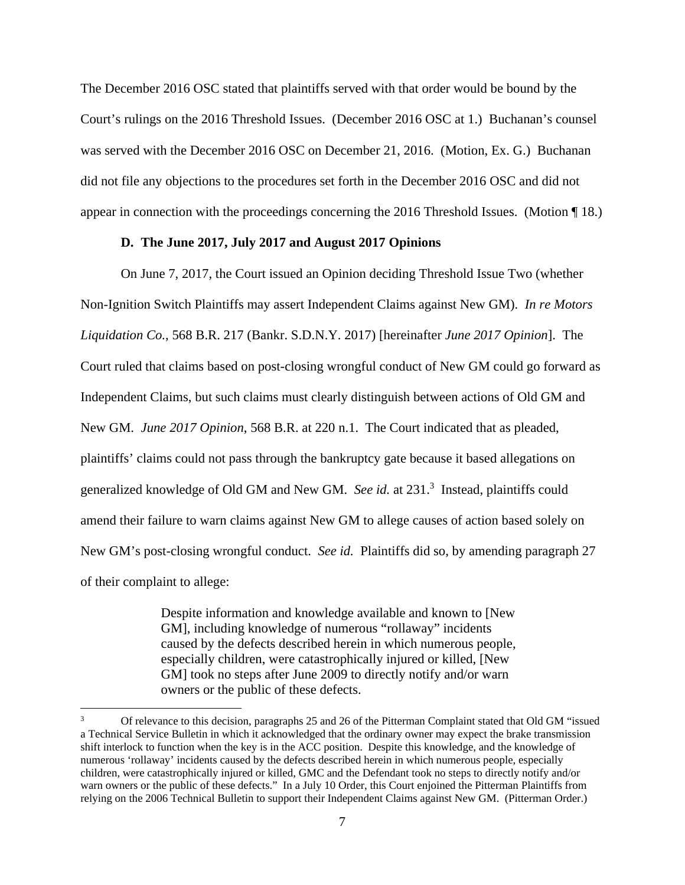The December 2016 OSC stated that plaintiffs served with that order would be bound by the Court's rulings on the 2016 Threshold Issues. (December 2016 OSC at 1.) Buchanan's counsel was served with the December 2016 OSC on December 21, 2016. (Motion, Ex. G.) Buchanan did not file any objections to the procedures set forth in the December 2016 OSC and did not appear in connection with the proceedings concerning the 2016 Threshold Issues. (Motion ¶ 18.)

#### **D. The June 2017, July 2017 and August 2017 Opinions**

On June 7, 2017, the Court issued an Opinion deciding Threshold Issue Two (whether Non-Ignition Switch Plaintiffs may assert Independent Claims against New GM). *In re Motors Liquidation Co.*, 568 B.R. 217 (Bankr. S.D.N.Y. 2017) [hereinafter *June 2017 Opinion*]. The Court ruled that claims based on post-closing wrongful conduct of New GM could go forward as Independent Claims, but such claims must clearly distinguish between actions of Old GM and New GM. *June 2017 Opinion*, 568 B.R. at 220 n.1. The Court indicated that as pleaded, plaintiffs' claims could not pass through the bankruptcy gate because it based allegations on generalized knowledge of Old GM and New GM. *See id.* at 231.<sup>3</sup> Instead, plaintiffs could amend their failure to warn claims against New GM to allege causes of action based solely on New GM's post-closing wrongful conduct. *See id.* Plaintiffs did so, by amending paragraph 27 of their complaint to allege:

> Despite information and knowledge available and known to [New GM], including knowledge of numerous "rollaway" incidents caused by the defects described herein in which numerous people, especially children, were catastrophically injured or killed, [New GM] took no steps after June 2009 to directly notify and/or warn owners or the public of these defects.

<sup>3</sup> Of relevance to this decision, paragraphs 25 and 26 of the Pitterman Complaint stated that Old GM "issued a Technical Service Bulletin in which it acknowledged that the ordinary owner may expect the brake transmission shift interlock to function when the key is in the ACC position. Despite this knowledge, and the knowledge of numerous 'rollaway' incidents caused by the defects described herein in which numerous people, especially children, were catastrophically injured or killed, GMC and the Defendant took no steps to directly notify and/or warn owners or the public of these defects." In a July 10 Order, this Court enjoined the Pitterman Plaintiffs from relying on the 2006 Technical Bulletin to support their Independent Claims against New GM. (Pitterman Order.)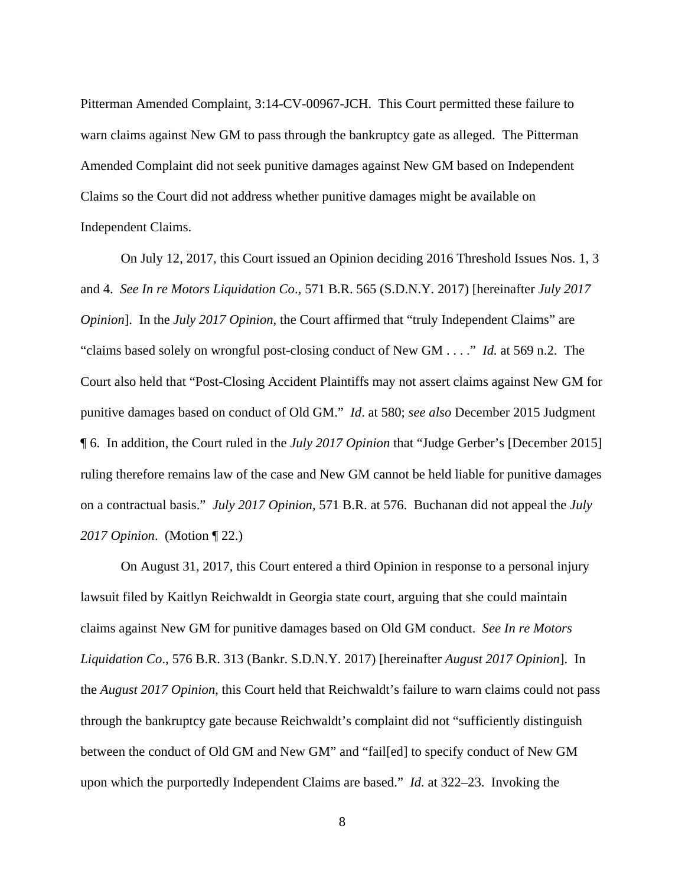Pitterman Amended Complaint, 3:14-CV-00967-JCH. This Court permitted these failure to warn claims against New GM to pass through the bankruptcy gate as alleged. The Pitterman Amended Complaint did not seek punitive damages against New GM based on Independent Claims so the Court did not address whether punitive damages might be available on Independent Claims.

On July 12, 2017, this Court issued an Opinion deciding 2016 Threshold Issues Nos. 1, 3 and 4. *See In re Motors Liquidation Co*., 571 B.R. 565 (S.D.N.Y. 2017) [hereinafter *July 2017 Opinion*]. In the *July 2017 Opinion*, the Court affirmed that "truly Independent Claims" are "claims based solely on wrongful post-closing conduct of New GM . . . ." *Id.* at 569 n.2. The Court also held that "Post-Closing Accident Plaintiffs may not assert claims against New GM for punitive damages based on conduct of Old GM." *Id*. at 580; *see also* December 2015 Judgment ¶ 6. In addition, the Court ruled in the *July 2017 Opinion* that "Judge Gerber's [December 2015] ruling therefore remains law of the case and New GM cannot be held liable for punitive damages on a contractual basis." *July 2017 Opinion*, 571 B.R. at 576. Buchanan did not appeal the *July 2017 Opinion*. (Motion ¶ 22.)

On August 31, 2017, this Court entered a third Opinion in response to a personal injury lawsuit filed by Kaitlyn Reichwaldt in Georgia state court, arguing that she could maintain claims against New GM for punitive damages based on Old GM conduct. *See In re Motors Liquidation Co*., 576 B.R. 313 (Bankr. S.D.N.Y. 2017) [hereinafter *August 2017 Opinion*]. In the *August 2017 Opinion*, this Court held that Reichwaldt's failure to warn claims could not pass through the bankruptcy gate because Reichwaldt's complaint did not "sufficiently distinguish between the conduct of Old GM and New GM" and "fail[ed] to specify conduct of New GM upon which the purportedly Independent Claims are based." *Id.* at 322–23. Invoking the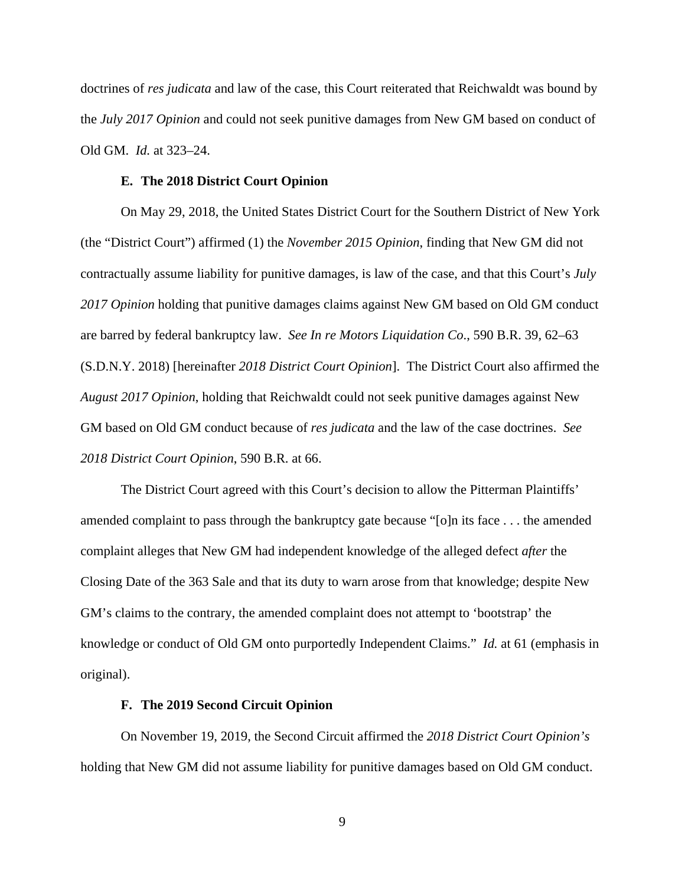doctrines of *res judicata* and law of the case, this Court reiterated that Reichwaldt was bound by the *July 2017 Opinion* and could not seek punitive damages from New GM based on conduct of Old GM. *Id.* at 323–24.

#### **E. The 2018 District Court Opinion**

On May 29, 2018, the United States District Court for the Southern District of New York (the "District Court") affirmed (1) the *November 2015 Opinion*, finding that New GM did not contractually assume liability for punitive damages, is law of the case, and that this Court's *July 2017 Opinion* holding that punitive damages claims against New GM based on Old GM conduct are barred by federal bankruptcy law. *See In re Motors Liquidation Co*., 590 B.R. 39, 62–63 (S.D.N.Y. 2018) [hereinafter *2018 District Court Opinion*]. The District Court also affirmed the *August 2017 Opinion*, holding that Reichwaldt could not seek punitive damages against New GM based on Old GM conduct because of *res judicata* and the law of the case doctrines. *See 2018 District Court Opinion*, 590 B.R. at 66.

The District Court agreed with this Court's decision to allow the Pitterman Plaintiffs' amended complaint to pass through the bankruptcy gate because "[o]n its face . . . the amended complaint alleges that New GM had independent knowledge of the alleged defect *after* the Closing Date of the 363 Sale and that its duty to warn arose from that knowledge; despite New GM's claims to the contrary, the amended complaint does not attempt to 'bootstrap' the knowledge or conduct of Old GM onto purportedly Independent Claims." *Id.* at 61 (emphasis in original).

#### **F. The 2019 Second Circuit Opinion**

On November 19, 2019, the Second Circuit affirmed the *2018 District Court Opinion's* holding that New GM did not assume liability for punitive damages based on Old GM conduct.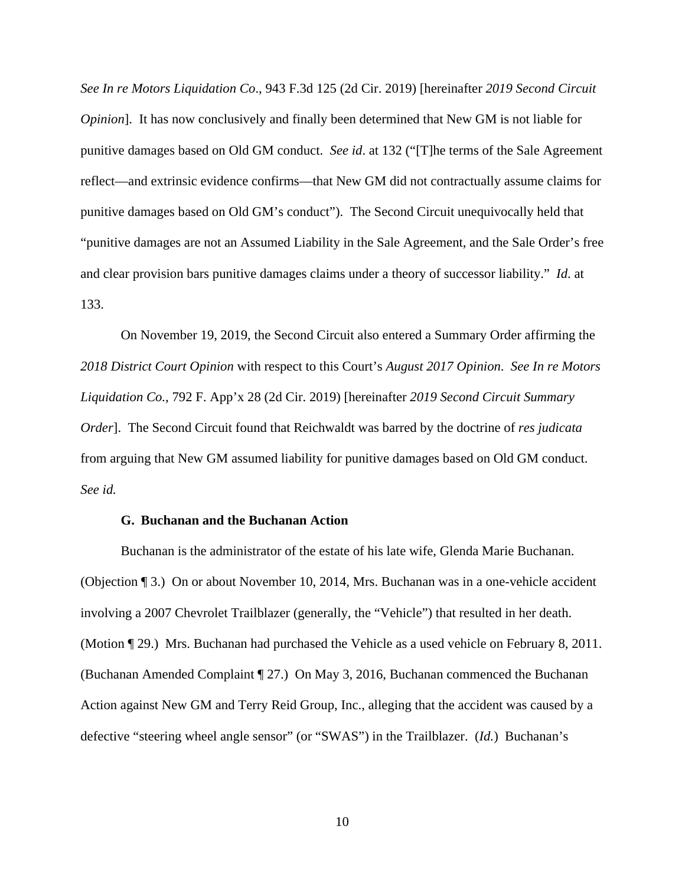*See In re Motors Liquidation Co*., 943 F.3d 125 (2d Cir. 2019) [hereinafter *2019 Second Circuit Opinion*]. It has now conclusively and finally been determined that New GM is not liable for punitive damages based on Old GM conduct. *See id*. at 132 ("[T]he terms of the Sale Agreement reflect—and extrinsic evidence confirms—that New GM did not contractually assume claims for punitive damages based on Old GM's conduct"). The Second Circuit unequivocally held that "punitive damages are not an Assumed Liability in the Sale Agreement, and the Sale Order's free and clear provision bars punitive damages claims under a theory of successor liability." *Id*. at 133.

On November 19, 2019, the Second Circuit also entered a Summary Order affirming the *2018 District Court Opinion* with respect to this Court's *August 2017 Opinion*. *See In re Motors Liquidation Co.*, 792 F. App'x 28 (2d Cir. 2019) [hereinafter *2019 Second Circuit Summary Order*]. The Second Circuit found that Reichwaldt was barred by the doctrine of *res judicata* from arguing that New GM assumed liability for punitive damages based on Old GM conduct. *See id.*

#### **G. Buchanan and the Buchanan Action**

Buchanan is the administrator of the estate of his late wife, Glenda Marie Buchanan. (Objection ¶ 3.) On or about November 10, 2014, Mrs. Buchanan was in a one-vehicle accident involving a 2007 Chevrolet Trailblazer (generally, the "Vehicle") that resulted in her death. (Motion ¶ 29.) Mrs. Buchanan had purchased the Vehicle as a used vehicle on February 8, 2011. (Buchanan Amended Complaint ¶ 27.) On May 3, 2016, Buchanan commenced the Buchanan Action against New GM and Terry Reid Group, Inc., alleging that the accident was caused by a defective "steering wheel angle sensor" (or "SWAS") in the Trailblazer. (*Id.*) Buchanan's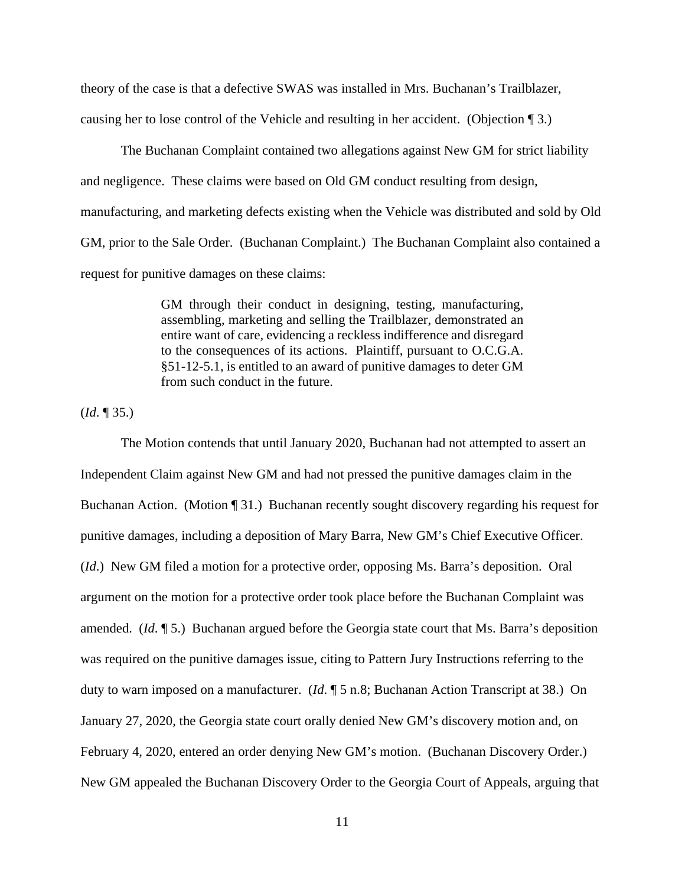theory of the case is that a defective SWAS was installed in Mrs. Buchanan's Trailblazer, causing her to lose control of the Vehicle and resulting in her accident. (Objection ¶ 3.)

The Buchanan Complaint contained two allegations against New GM for strict liability and negligence. These claims were based on Old GM conduct resulting from design, manufacturing, and marketing defects existing when the Vehicle was distributed and sold by Old GM, prior to the Sale Order. (Buchanan Complaint.) The Buchanan Complaint also contained a request for punitive damages on these claims:

> GM through their conduct in designing, testing, manufacturing, assembling, marketing and selling the Trailblazer, demonstrated an entire want of care, evidencing a reckless indifference and disregard to the consequences of its actions. Plaintiff, pursuant to O.C.G.A. §51-12-5.1, is entitled to an award of punitive damages to deter GM from such conduct in the future.

(*Id*. ¶ 35.)

 The Motion contends that until January 2020, Buchanan had not attempted to assert an Independent Claim against New GM and had not pressed the punitive damages claim in the Buchanan Action. (Motion ¶ 31.) Buchanan recently sought discovery regarding his request for punitive damages, including a deposition of Mary Barra, New GM's Chief Executive Officer. (*Id*.) New GM filed a motion for a protective order, opposing Ms. Barra's deposition. Oral argument on the motion for a protective order took place before the Buchanan Complaint was amended. (*Id*. ¶ 5.) Buchanan argued before the Georgia state court that Ms. Barra's deposition was required on the punitive damages issue, citing to Pattern Jury Instructions referring to the duty to warn imposed on a manufacturer. (*Id*. ¶ 5 n.8; Buchanan Action Transcript at 38.) On January 27, 2020, the Georgia state court orally denied New GM's discovery motion and, on February 4, 2020, entered an order denying New GM's motion. (Buchanan Discovery Order.) New GM appealed the Buchanan Discovery Order to the Georgia Court of Appeals, arguing that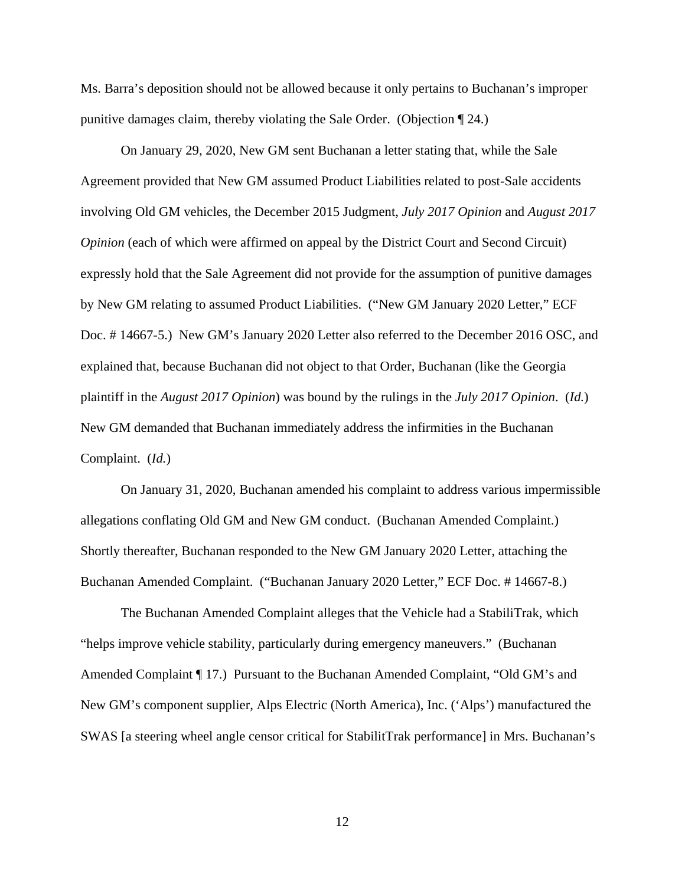Ms. Barra's deposition should not be allowed because it only pertains to Buchanan's improper punitive damages claim, thereby violating the Sale Order. (Objection ¶ 24.)

On January 29, 2020, New GM sent Buchanan a letter stating that, while the Sale Agreement provided that New GM assumed Product Liabilities related to post-Sale accidents involving Old GM vehicles, the December 2015 Judgment, *July 2017 Opinion* and *August 2017 Opinion* (each of which were affirmed on appeal by the District Court and Second Circuit) expressly hold that the Sale Agreement did not provide for the assumption of punitive damages by New GM relating to assumed Product Liabilities. ("New GM January 2020 Letter," ECF Doc. # 14667-5.) New GM's January 2020 Letter also referred to the December 2016 OSC, and explained that, because Buchanan did not object to that Order, Buchanan (like the Georgia plaintiff in the *August 2017 Opinion*) was bound by the rulings in the *July 2017 Opinion*. (*Id.*) New GM demanded that Buchanan immediately address the infirmities in the Buchanan Complaint. (*Id.*)

 On January 31, 2020, Buchanan amended his complaint to address various impermissible allegations conflating Old GM and New GM conduct. (Buchanan Amended Complaint.) Shortly thereafter, Buchanan responded to the New GM January 2020 Letter, attaching the Buchanan Amended Complaint. ("Buchanan January 2020 Letter," ECF Doc. # 14667-8.)

 The Buchanan Amended Complaint alleges that the Vehicle had a StabiliTrak, which "helps improve vehicle stability, particularly during emergency maneuvers." (Buchanan Amended Complaint ¶ 17.) Pursuant to the Buchanan Amended Complaint, "Old GM's and New GM's component supplier, Alps Electric (North America), Inc. ('Alps') manufactured the SWAS [a steering wheel angle censor critical for StabilitTrak performance] in Mrs. Buchanan's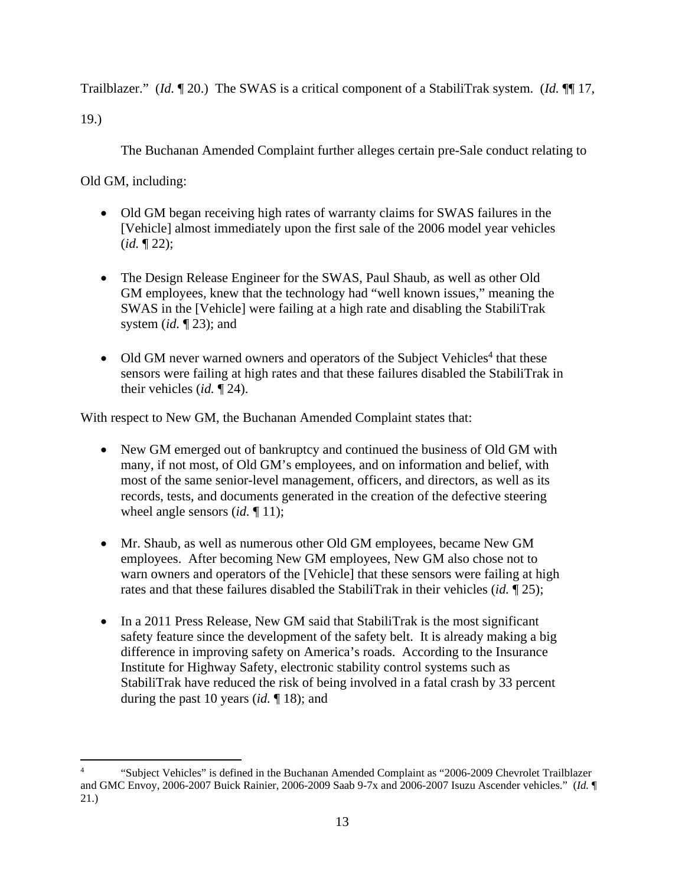Trailblazer." (*Id.* ¶ 20.) The SWAS is a critical component of a StabiliTrak system. (*Id.* ¶¶ 17,

19.)

The Buchanan Amended Complaint further alleges certain pre-Sale conduct relating to

Old GM, including:

- Old GM began receiving high rates of warranty claims for SWAS failures in the [Vehicle] almost immediately upon the first sale of the 2006 model year vehicles (*id.* ¶ 22);
- The Design Release Engineer for the SWAS, Paul Shaub, as well as other Old GM employees, knew that the technology had "well known issues," meaning the SWAS in the [Vehicle] were failing at a high rate and disabling the StabiliTrak system (*id.* ¶ 23); and
- Old GM never warned owners and operators of the Subject Vehicles<sup>4</sup> that these sensors were failing at high rates and that these failures disabled the StabiliTrak in their vehicles (*id.* ¶ 24).

With respect to New GM, the Buchanan Amended Complaint states that:

- New GM emerged out of bankruptcy and continued the business of Old GM with many, if not most, of Old GM's employees, and on information and belief, with most of the same senior-level management, officers, and directors, as well as its records, tests, and documents generated in the creation of the defective steering wheel angle sensors *(id.* 11);
- Mr. Shaub, as well as numerous other Old GM employees, became New GM employees. After becoming New GM employees, New GM also chose not to warn owners and operators of the [Vehicle] that these sensors were failing at high rates and that these failures disabled the StabiliTrak in their vehicles (*id.* ¶ 25);
- In a 2011 Press Release, New GM said that StabiliTrak is the most significant safety feature since the development of the safety belt. It is already making a big difference in improving safety on America's roads. According to the Insurance Institute for Highway Safety, electronic stability control systems such as StabiliTrak have reduced the risk of being involved in a fatal crash by 33 percent during the past 10 years (*id.* ¶ 18); and

<sup>4</sup> "Subject Vehicles" is defined in the Buchanan Amended Complaint as "2006-2009 Chevrolet Trailblazer and GMC Envoy, 2006-2007 Buick Rainier, 2006-2009 Saab 9-7x and 2006-2007 Isuzu Ascender vehicles." (*Id.* ¶ 21.)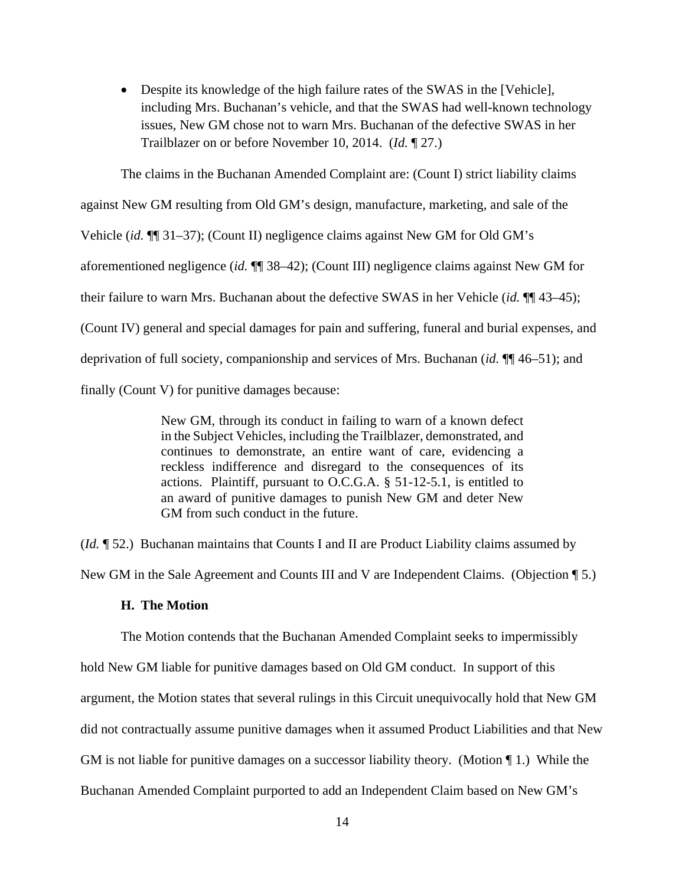Despite its knowledge of the high failure rates of the SWAS in the [Vehicle], including Mrs. Buchanan's vehicle, and that the SWAS had well-known technology issues, New GM chose not to warn Mrs. Buchanan of the defective SWAS in her Trailblazer on or before November 10, 2014. (*Id.* ¶ 27.)

The claims in the Buchanan Amended Complaint are: (Count I) strict liability claims against New GM resulting from Old GM's design, manufacture, marketing, and sale of the Vehicle (*id.* ¶¶ 31–37); (Count II) negligence claims against New GM for Old GM's aforementioned negligence (*id.* ¶¶ 38–42); (Count III) negligence claims against New GM for their failure to warn Mrs. Buchanan about the defective SWAS in her Vehicle (*id.* ¶¶ 43–45); (Count IV) general and special damages for pain and suffering, funeral and burial expenses, and deprivation of full society, companionship and services of Mrs. Buchanan (*id.* ¶¶ 46–51); and finally (Count V) for punitive damages because:

> New GM, through its conduct in failing to warn of a known defect in the Subject Vehicles, including the Trailblazer, demonstrated, and continues to demonstrate, an entire want of care, evidencing a reckless indifference and disregard to the consequences of its actions. Plaintiff, pursuant to O.C.G.A. § 51-12-5.1, is entitled to an award of punitive damages to punish New GM and deter New GM from such conduct in the future.

(*Id.* ¶ 52.) Buchanan maintains that Counts I and II are Product Liability claims assumed by

New GM in the Sale Agreement and Counts III and V are Independent Claims. (Objection ¶ 5.)

### **H. The Motion**

The Motion contends that the Buchanan Amended Complaint seeks to impermissibly hold New GM liable for punitive damages based on Old GM conduct. In support of this argument, the Motion states that several rulings in this Circuit unequivocally hold that New GM did not contractually assume punitive damages when it assumed Product Liabilities and that New GM is not liable for punitive damages on a successor liability theory. (Motion ¶ 1.) While the Buchanan Amended Complaint purported to add an Independent Claim based on New GM's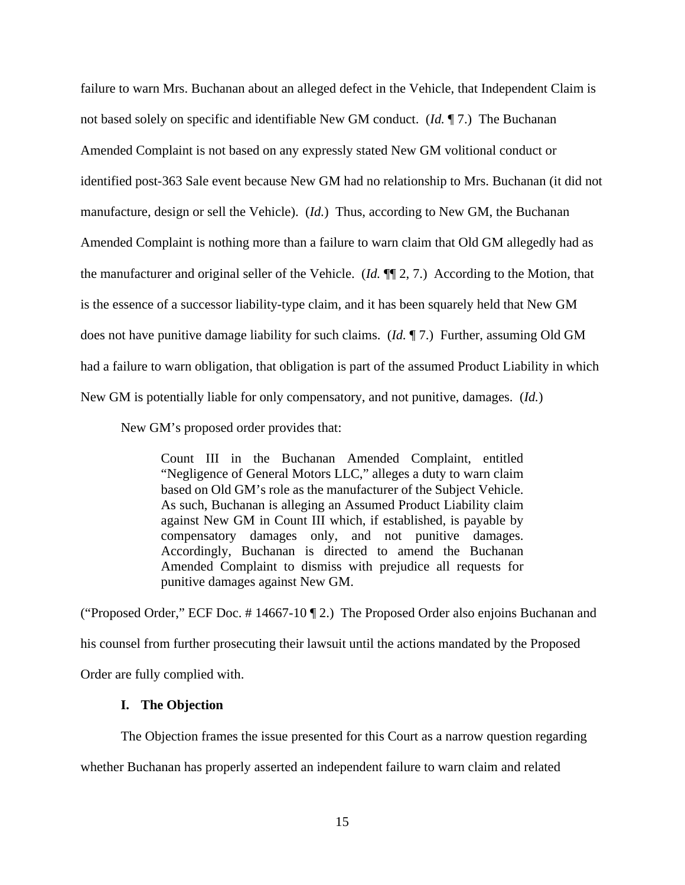failure to warn Mrs. Buchanan about an alleged defect in the Vehicle, that Independent Claim is not based solely on specific and identifiable New GM conduct. (*Id.* ¶ 7.) The Buchanan Amended Complaint is not based on any expressly stated New GM volitional conduct or identified post-363 Sale event because New GM had no relationship to Mrs. Buchanan (it did not manufacture, design or sell the Vehicle). (*Id.*) Thus, according to New GM, the Buchanan Amended Complaint is nothing more than a failure to warn claim that Old GM allegedly had as the manufacturer and original seller of the Vehicle. (*Id.* ¶¶ 2, 7.) According to the Motion, that is the essence of a successor liability-type claim, and it has been squarely held that New GM does not have punitive damage liability for such claims. (*Id.* ¶ 7.) Further, assuming Old GM had a failure to warn obligation, that obligation is part of the assumed Product Liability in which New GM is potentially liable for only compensatory, and not punitive, damages. (*Id.*)

New GM's proposed order provides that:

Count III in the Buchanan Amended Complaint, entitled "Negligence of General Motors LLC," alleges a duty to warn claim based on Old GM's role as the manufacturer of the Subject Vehicle. As such, Buchanan is alleging an Assumed Product Liability claim against New GM in Count III which, if established, is payable by compensatory damages only, and not punitive damages. Accordingly, Buchanan is directed to amend the Buchanan Amended Complaint to dismiss with prejudice all requests for punitive damages against New GM.

("Proposed Order," ECF Doc. # 14667-10 ¶ 2.) The Proposed Order also enjoins Buchanan and his counsel from further prosecuting their lawsuit until the actions mandated by the Proposed Order are fully complied with.

### **I. The Objection**

The Objection frames the issue presented for this Court as a narrow question regarding

whether Buchanan has properly asserted an independent failure to warn claim and related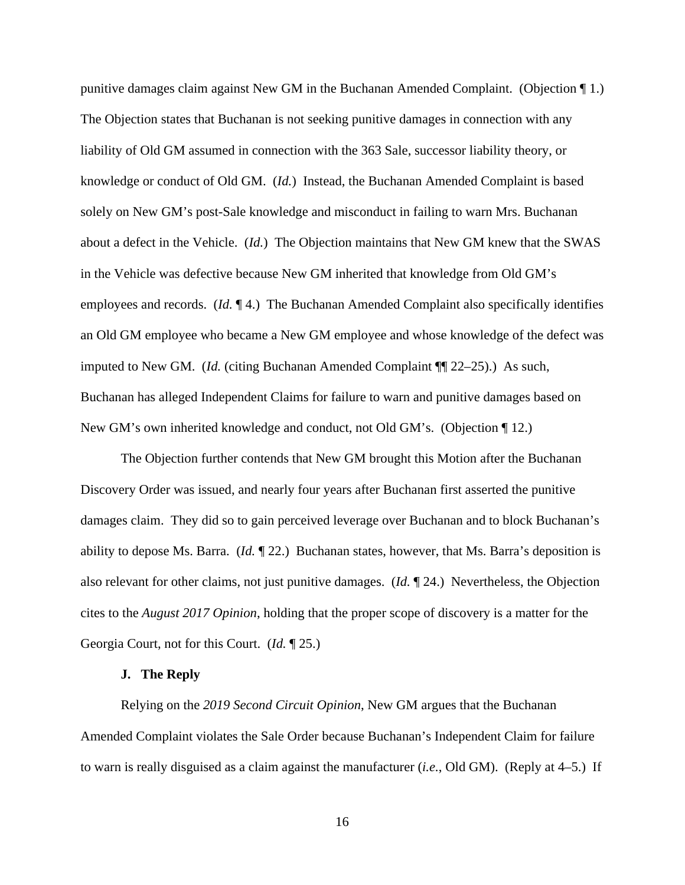punitive damages claim against New GM in the Buchanan Amended Complaint. (Objection ¶ 1.) The Objection states that Buchanan is not seeking punitive damages in connection with any liability of Old GM assumed in connection with the 363 Sale, successor liability theory, or knowledge or conduct of Old GM. (*Id.*) Instead, the Buchanan Amended Complaint is based solely on New GM's post-Sale knowledge and misconduct in failing to warn Mrs. Buchanan about a defect in the Vehicle. (*Id.*) The Objection maintains that New GM knew that the SWAS in the Vehicle was defective because New GM inherited that knowledge from Old GM's employees and records. (*Id.* ¶ 4.) The Buchanan Amended Complaint also specifically identifies an Old GM employee who became a New GM employee and whose knowledge of the defect was imputed to New GM. (*Id.* (citing Buchanan Amended Complaint ¶¶ 22–25).) As such, Buchanan has alleged Independent Claims for failure to warn and punitive damages based on New GM's own inherited knowledge and conduct, not Old GM's. (Objection ¶ 12.)

The Objection further contends that New GM brought this Motion after the Buchanan Discovery Order was issued, and nearly four years after Buchanan first asserted the punitive damages claim. They did so to gain perceived leverage over Buchanan and to block Buchanan's ability to depose Ms. Barra. (*Id.* ¶ 22.) Buchanan states, however, that Ms. Barra's deposition is also relevant for other claims, not just punitive damages. (*Id.* ¶ 24.) Nevertheless, the Objection cites to the *August 2017 Opinion*, holding that the proper scope of discovery is a matter for the Georgia Court, not for this Court. (*Id.* ¶ 25.)

#### **J. The Reply**

Relying on the *2019 Second Circuit Opinion*, New GM argues that the Buchanan Amended Complaint violates the Sale Order because Buchanan's Independent Claim for failure to warn is really disguised as a claim against the manufacturer (*i.e.*, Old GM). (Reply at 4–5.) If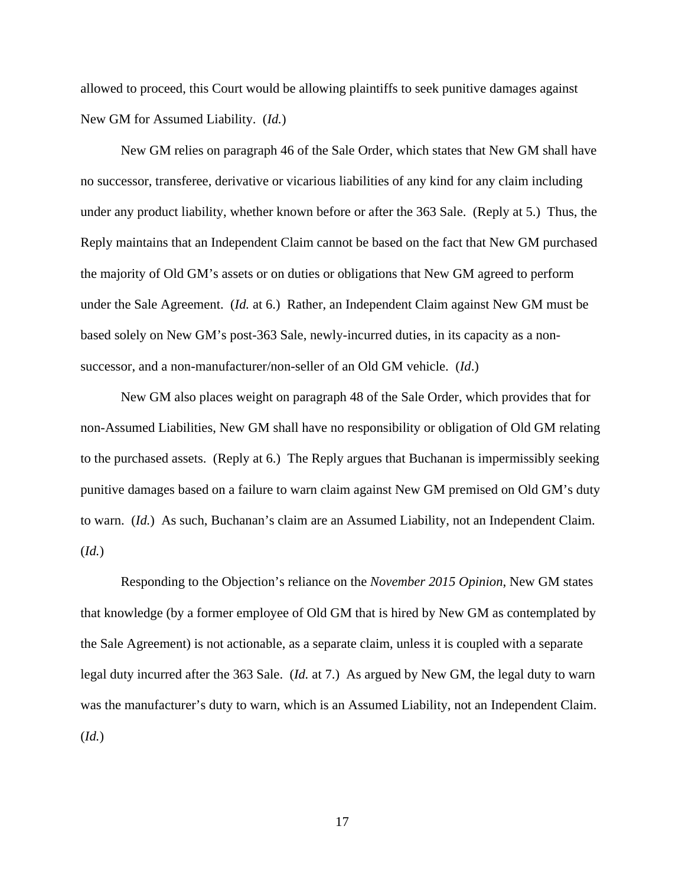allowed to proceed, this Court would be allowing plaintiffs to seek punitive damages against New GM for Assumed Liability. (*Id.*)

New GM relies on paragraph 46 of the Sale Order, which states that New GM shall have no successor, transferee, derivative or vicarious liabilities of any kind for any claim including under any product liability, whether known before or after the 363 Sale. (Reply at 5.) Thus, the Reply maintains that an Independent Claim cannot be based on the fact that New GM purchased the majority of Old GM's assets or on duties or obligations that New GM agreed to perform under the Sale Agreement. (*Id.* at 6.) Rather, an Independent Claim against New GM must be based solely on New GM's post-363 Sale, newly-incurred duties, in its capacity as a nonsuccessor, and a non-manufacturer/non-seller of an Old GM vehicle. (*Id*.)

New GM also places weight on paragraph 48 of the Sale Order, which provides that for non-Assumed Liabilities, New GM shall have no responsibility or obligation of Old GM relating to the purchased assets. (Reply at 6.) The Reply argues that Buchanan is impermissibly seeking punitive damages based on a failure to warn claim against New GM premised on Old GM's duty to warn. (*Id.*) As such, Buchanan's claim are an Assumed Liability, not an Independent Claim. (*Id.*)

Responding to the Objection's reliance on the *November 2015 Opinion*, New GM states that knowledge (by a former employee of Old GM that is hired by New GM as contemplated by the Sale Agreement) is not actionable, as a separate claim, unless it is coupled with a separate legal duty incurred after the 363 Sale. (*Id.* at 7.) As argued by New GM, the legal duty to warn was the manufacturer's duty to warn, which is an Assumed Liability, not an Independent Claim. (*Id.*)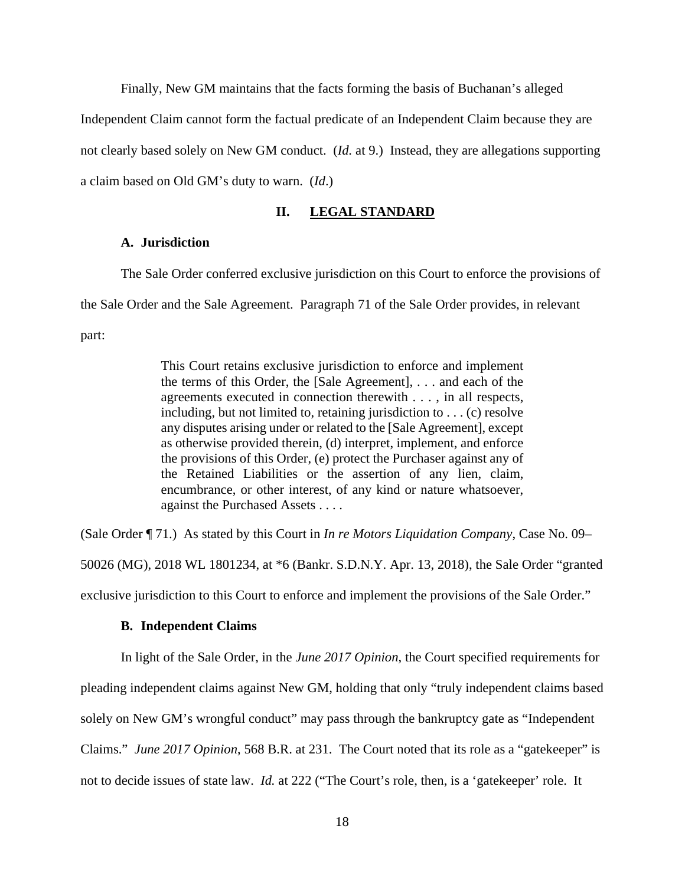Finally, New GM maintains that the facts forming the basis of Buchanan's alleged Independent Claim cannot form the factual predicate of an Independent Claim because they are not clearly based solely on New GM conduct. (*Id.* at 9.) Instead, they are allegations supporting a claim based on Old GM's duty to warn. (*Id*.)

## **II. LEGAL STANDARD**

### **A. Jurisdiction**

The Sale Order conferred exclusive jurisdiction on this Court to enforce the provisions of the Sale Order and the Sale Agreement. Paragraph 71 of the Sale Order provides, in relevant part:

> This Court retains exclusive jurisdiction to enforce and implement the terms of this Order, the [Sale Agreement], . . . and each of the agreements executed in connection therewith . . . , in all respects, including, but not limited to, retaining jurisdiction to . . . (c) resolve any disputes arising under or related to the [Sale Agreement], except as otherwise provided therein, (d) interpret, implement, and enforce the provisions of this Order, (e) protect the Purchaser against any of the Retained Liabilities or the assertion of any lien, claim, encumbrance, or other interest, of any kind or nature whatsoever, against the Purchased Assets . . . .

(Sale Order ¶ 71.) As stated by this Court in *In re Motors Liquidation Company*, Case No. 09– 50026 (MG), 2018 WL 1801234, at \*6 (Bankr. S.D.N.Y. Apr. 13, 2018), the Sale Order "granted exclusive jurisdiction to this Court to enforce and implement the provisions of the Sale Order."

### **B. Independent Claims**

In light of the Sale Order, in the *June 2017 Opinion*, the Court specified requirements for pleading independent claims against New GM, holding that only "truly independent claims based solely on New GM's wrongful conduct" may pass through the bankruptcy gate as "Independent Claims." *June 2017 Opinion*, 568 B.R. at 231. The Court noted that its role as a "gatekeeper" is not to decide issues of state law. *Id.* at 222 ("The Court's role, then, is a 'gatekeeper' role. It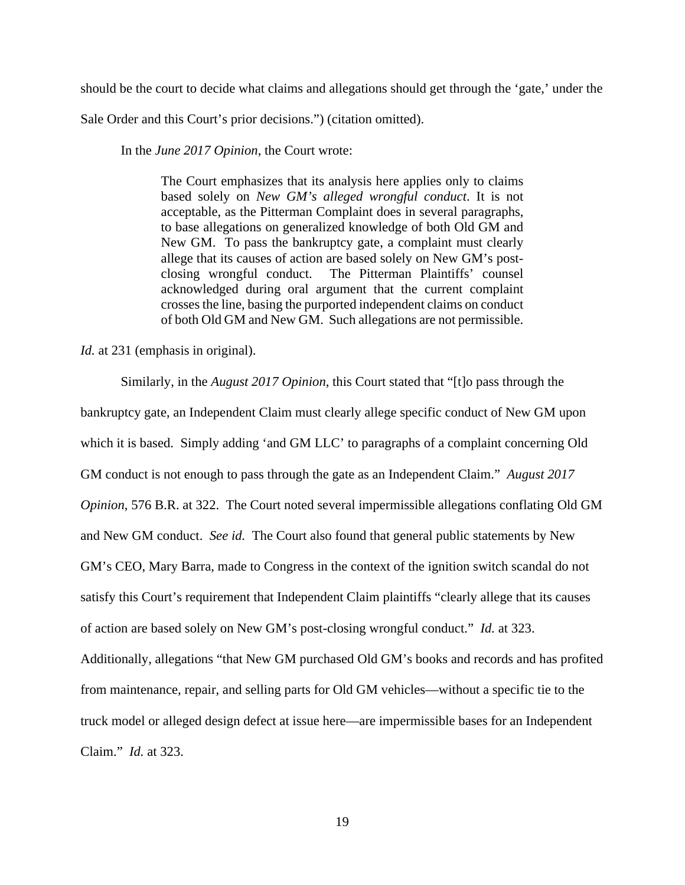should be the court to decide what claims and allegations should get through the 'gate,' under the

Sale Order and this Court's prior decisions.") (citation omitted).

In the *June 2017 Opinion*, the Court wrote:

The Court emphasizes that its analysis here applies only to claims based solely on *New GM's alleged wrongful conduct*. It is not acceptable, as the Pitterman Complaint does in several paragraphs, to base allegations on generalized knowledge of both Old GM and New GM. To pass the bankruptcy gate, a complaint must clearly allege that its causes of action are based solely on New GM's postclosing wrongful conduct. The Pitterman Plaintiffs' counsel acknowledged during oral argument that the current complaint crosses the line, basing the purported independent claims on conduct of both Old GM and New GM. Such allegations are not permissible.

*Id.* at 231 (emphasis in original).

Similarly, in the *August 2017 Opinion*, this Court stated that "[t]o pass through the bankruptcy gate, an Independent Claim must clearly allege specific conduct of New GM upon which it is based. Simply adding 'and GM LLC' to paragraphs of a complaint concerning Old GM conduct is not enough to pass through the gate as an Independent Claim." *August 2017 Opinion*, 576 B.R. at 322. The Court noted several impermissible allegations conflating Old GM and New GM conduct. *See id.* The Court also found that general public statements by New GM's CEO, Mary Barra, made to Congress in the context of the ignition switch scandal do not satisfy this Court's requirement that Independent Claim plaintiffs "clearly allege that its causes of action are based solely on New GM's post-closing wrongful conduct." *Id.* at 323. Additionally, allegations "that New GM purchased Old GM's books and records and has profited from maintenance, repair, and selling parts for Old GM vehicles—without a specific tie to the truck model or alleged design defect at issue here—are impermissible bases for an Independent Claim." *Id.* at 323.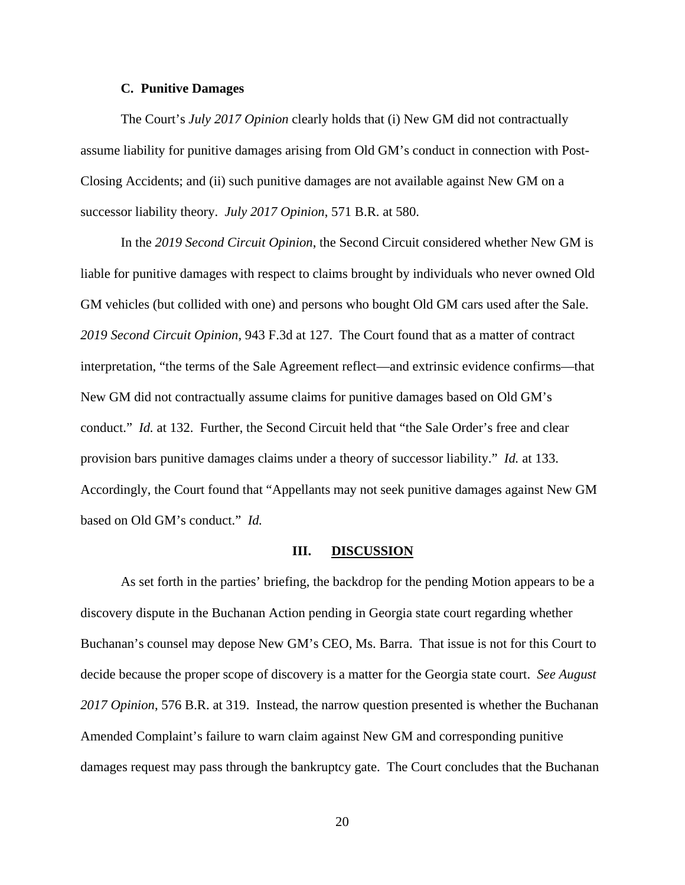#### **C. Punitive Damages**

The Court's *July 2017 Opinion* clearly holds that (i) New GM did not contractually assume liability for punitive damages arising from Old GM's conduct in connection with Post-Closing Accidents; and (ii) such punitive damages are not available against New GM on a successor liability theory. *July 2017 Opinion*, 571 B.R. at 580.

In the *2019 Second Circuit Opinion*, the Second Circuit considered whether New GM is liable for punitive damages with respect to claims brought by individuals who never owned Old GM vehicles (but collided with one) and persons who bought Old GM cars used after the Sale. *2019 Second Circuit Opinion*, 943 F.3d at 127. The Court found that as a matter of contract interpretation, "the terms of the Sale Agreement reflect—and extrinsic evidence confirms—that New GM did not contractually assume claims for punitive damages based on Old GM's conduct." *Id.* at 132. Further, the Second Circuit held that "the Sale Order's free and clear provision bars punitive damages claims under a theory of successor liability." *Id.* at 133. Accordingly, the Court found that "Appellants may not seek punitive damages against New GM based on Old GM's conduct." *Id.*

#### **III. DISCUSSION**

 As set forth in the parties' briefing, the backdrop for the pending Motion appears to be a discovery dispute in the Buchanan Action pending in Georgia state court regarding whether Buchanan's counsel may depose New GM's CEO, Ms. Barra. That issue is not for this Court to decide because the proper scope of discovery is a matter for the Georgia state court. *See August 2017 Opinion*, 576 B.R. at 319. Instead, the narrow question presented is whether the Buchanan Amended Complaint's failure to warn claim against New GM and corresponding punitive damages request may pass through the bankruptcy gate. The Court concludes that the Buchanan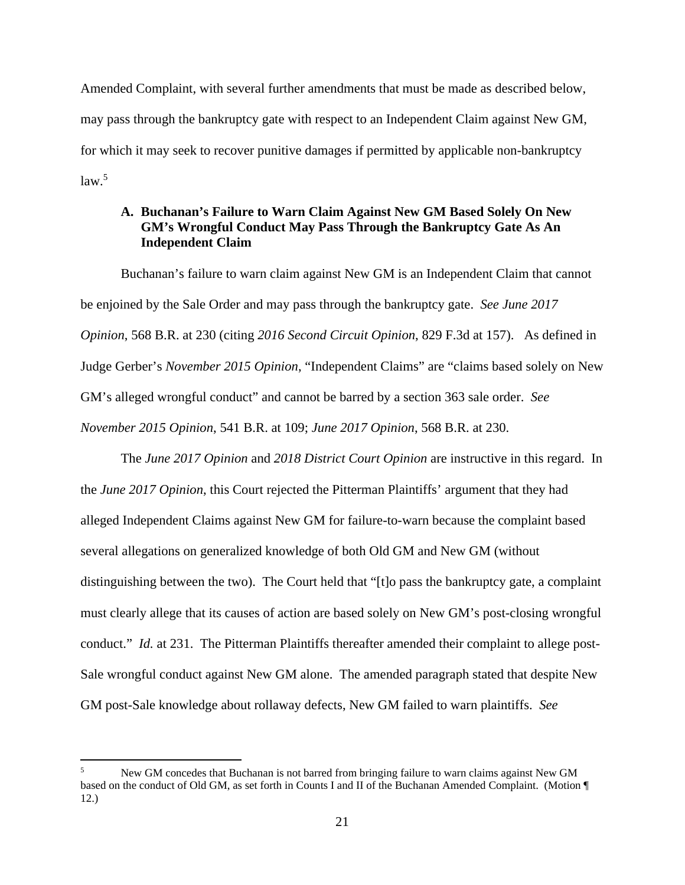Amended Complaint, with several further amendments that must be made as described below, may pass through the bankruptcy gate with respect to an Independent Claim against New GM, for which it may seek to recover punitive damages if permitted by applicable non-bankruptcy law.<sup>5</sup>

# **A. Buchanan's Failure to Warn Claim Against New GM Based Solely On New GM's Wrongful Conduct May Pass Through the Bankruptcy Gate As An Independent Claim**

 Buchanan's failure to warn claim against New GM is an Independent Claim that cannot be enjoined by the Sale Order and may pass through the bankruptcy gate. *See June 2017 Opinion*, 568 B.R. at 230 (citing *2016 Second Circuit Opinion*, 829 F.3d at 157). As defined in Judge Gerber's *November 2015 Opinion*, "Independent Claims" are "claims based solely on New GM's alleged wrongful conduct" and cannot be barred by a section 363 sale order. *See November 2015 Opinion*, 541 B.R. at 109; *June 2017 Opinion*, 568 B.R. at 230.

The *June 2017 Opinion* and *2018 District Court Opinion* are instructive in this regard. In the *June 2017 Opinion*, this Court rejected the Pitterman Plaintiffs' argument that they had alleged Independent Claims against New GM for failure-to-warn because the complaint based several allegations on generalized knowledge of both Old GM and New GM (without distinguishing between the two). The Court held that "[t]o pass the bankruptcy gate, a complaint must clearly allege that its causes of action are based solely on New GM's post-closing wrongful conduct." *Id.* at 231. The Pitterman Plaintiffs thereafter amended their complaint to allege post-Sale wrongful conduct against New GM alone. The amended paragraph stated that despite New GM post-Sale knowledge about rollaway defects, New GM failed to warn plaintiffs. *See* 

<sup>5</sup> New GM concedes that Buchanan is not barred from bringing failure to warn claims against New GM based on the conduct of Old GM, as set forth in Counts I and II of the Buchanan Amended Complaint. (Motion ¶ 12.)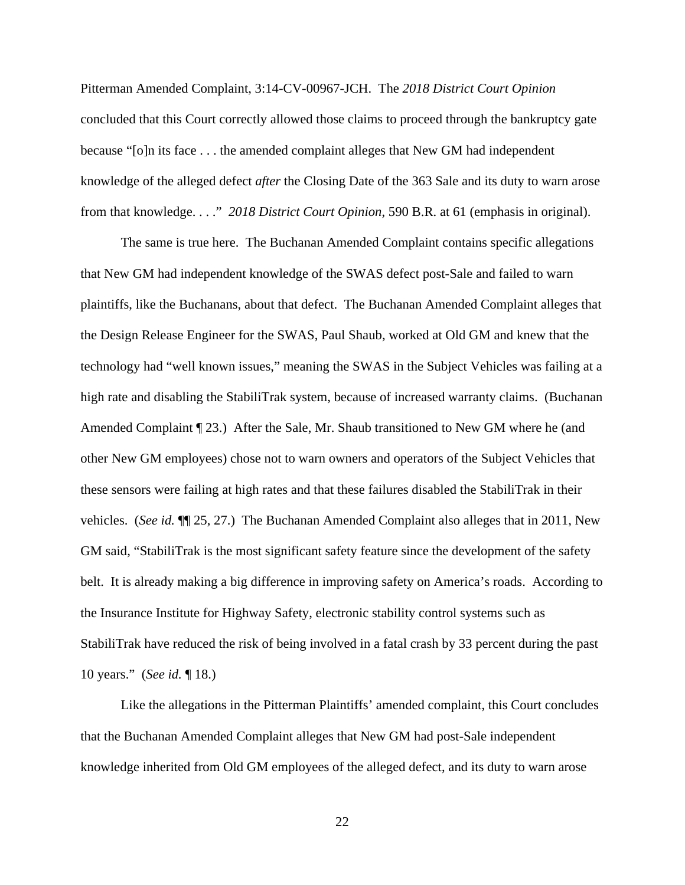Pitterman Amended Complaint, 3:14-CV-00967-JCH. The *2018 District Court Opinion* concluded that this Court correctly allowed those claims to proceed through the bankruptcy gate because "[o]n its face . . . the amended complaint alleges that New GM had independent knowledge of the alleged defect *after* the Closing Date of the 363 Sale and its duty to warn arose from that knowledge. . . ." *2018 District Court Opinion*, 590 B.R. at 61 (emphasis in original).

 The same is true here. The Buchanan Amended Complaint contains specific allegations that New GM had independent knowledge of the SWAS defect post-Sale and failed to warn plaintiffs, like the Buchanans, about that defect. The Buchanan Amended Complaint alleges that the Design Release Engineer for the SWAS, Paul Shaub, worked at Old GM and knew that the technology had "well known issues," meaning the SWAS in the Subject Vehicles was failing at a high rate and disabling the StabiliTrak system, because of increased warranty claims. (Buchanan Amended Complaint [23.) After the Sale, Mr. Shaub transitioned to New GM where he (and other New GM employees) chose not to warn owners and operators of the Subject Vehicles that these sensors were failing at high rates and that these failures disabled the StabiliTrak in their vehicles. (*See id.* ¶¶ 25, 27.) The Buchanan Amended Complaint also alleges that in 2011, New GM said, "StabiliTrak is the most significant safety feature since the development of the safety belt. It is already making a big difference in improving safety on America's roads. According to the Insurance Institute for Highway Safety, electronic stability control systems such as StabiliTrak have reduced the risk of being involved in a fatal crash by 33 percent during the past 10 years." (*See id.* ¶ 18.)

Like the allegations in the Pitterman Plaintiffs' amended complaint, this Court concludes that the Buchanan Amended Complaint alleges that New GM had post-Sale independent knowledge inherited from Old GM employees of the alleged defect, and its duty to warn arose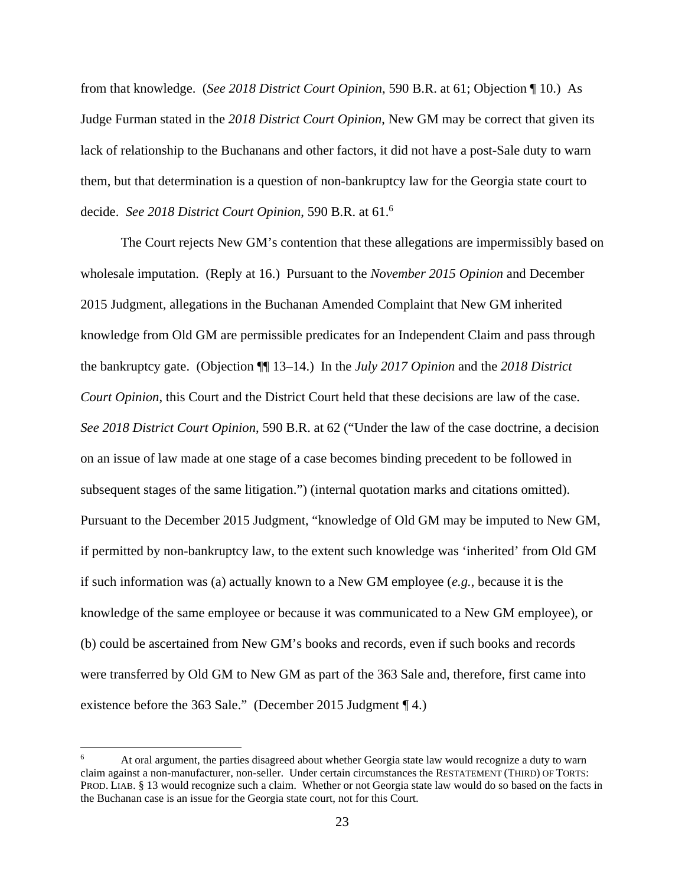from that knowledge. (*See 2018 District Court Opinion*, 590 B.R. at 61; Objection ¶ 10.) As Judge Furman stated in the *2018 District Court Opinion*, New GM may be correct that given its lack of relationship to the Buchanans and other factors, it did not have a post-Sale duty to warn them, but that determination is a question of non-bankruptcy law for the Georgia state court to decide. *See 2018 District Court Opinion*, 590 B.R. at 61.6

 The Court rejects New GM's contention that these allegations are impermissibly based on wholesale imputation. (Reply at 16.) Pursuant to the *November 2015 Opinion* and December 2015 Judgment, allegations in the Buchanan Amended Complaint that New GM inherited knowledge from Old GM are permissible predicates for an Independent Claim and pass through the bankruptcy gate. (Objection ¶¶ 13–14.) In the *July 2017 Opinion* and the *2018 District Court Opinion*, this Court and the District Court held that these decisions are law of the case. *See 2018 District Court Opinion*, 590 B.R. at 62 ("Under the law of the case doctrine, a decision on an issue of law made at one stage of a case becomes binding precedent to be followed in subsequent stages of the same litigation.") (internal quotation marks and citations omitted). Pursuant to the December 2015 Judgment, "knowledge of Old GM may be imputed to New GM, if permitted by non-bankruptcy law, to the extent such knowledge was 'inherited' from Old GM if such information was (a) actually known to a New GM employee (*e.g.*, because it is the knowledge of the same employee or because it was communicated to a New GM employee), or (b) could be ascertained from New GM's books and records, even if such books and records were transferred by Old GM to New GM as part of the 363 Sale and, therefore, first came into existence before the 363 Sale." (December 2015 Judgment ¶ 4.)

<sup>6</sup> At oral argument, the parties disagreed about whether Georgia state law would recognize a duty to warn claim against a non-manufacturer, non-seller. Under certain circumstances the RESTATEMENT (THIRD) OF TORTS: PROD. LIAB. § 13 would recognize such a claim. Whether or not Georgia state law would do so based on the facts in the Buchanan case is an issue for the Georgia state court, not for this Court.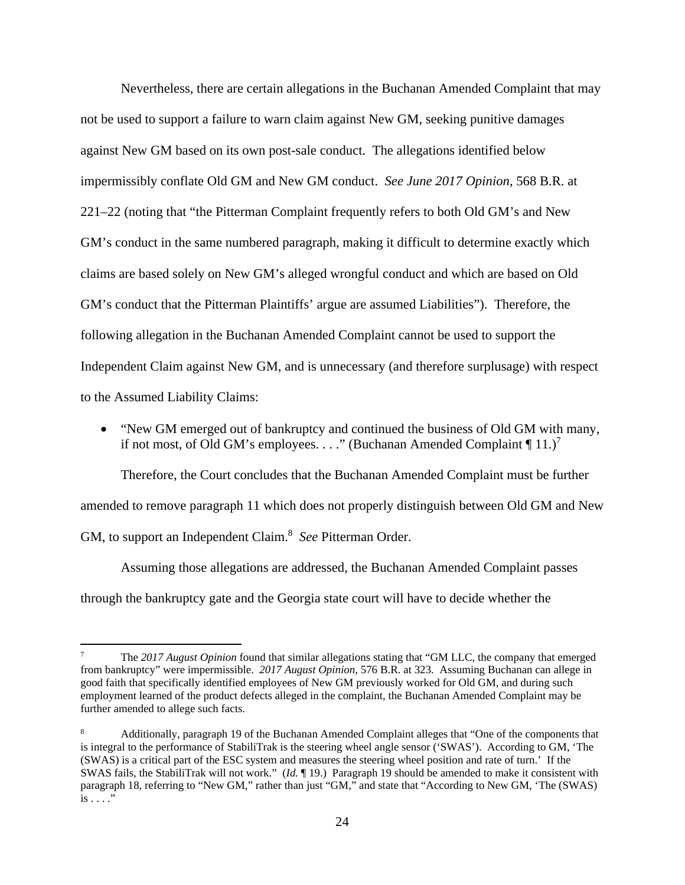Nevertheless, there are certain allegations in the Buchanan Amended Complaint that may not be used to support a failure to warn claim against New GM, seeking punitive damages against New GM based on its own post-sale conduct. The allegations identified below impermissibly conflate Old GM and New GM conduct. *See June 2017 Opinion*, 568 B.R. at 221–22 (noting that "the Pitterman Complaint frequently refers to both Old GM's and New GM's conduct in the same numbered paragraph, making it difficult to determine exactly which claims are based solely on New GM's alleged wrongful conduct and which are based on Old GM's conduct that the Pitterman Plaintiffs' argue are assumed Liabilities"). Therefore, the following allegation in the Buchanan Amended Complaint cannot be used to support the Independent Claim against New GM, and is unnecessary (and therefore surplusage) with respect to the Assumed Liability Claims:

 "New GM emerged out of bankruptcy and continued the business of Old GM with many, if not most, of Old GM's employees. . . ." (Buchanan Amended Complaint  $\P$  11.)<sup>7</sup>

Therefore, the Court concludes that the Buchanan Amended Complaint must be further amended to remove paragraph 11 which does not properly distinguish between Old GM and New GM, to support an Independent Claim.<sup>8</sup> See Pitterman Order.

 Assuming those allegations are addressed, the Buchanan Amended Complaint passes through the bankruptcy gate and the Georgia state court will have to decide whether the

<sup>7</sup> The *2017 August Opinion* found that similar allegations stating that "GM LLC, the company that emerged from bankruptcy" were impermissible. *2017 August Opinion*, 576 B.R. at 323. Assuming Buchanan can allege in good faith that specifically identified employees of New GM previously worked for Old GM, and during such employment learned of the product defects alleged in the complaint, the Buchanan Amended Complaint may be further amended to allege such facts.

<sup>8</sup> Additionally, paragraph 19 of the Buchanan Amended Complaint alleges that "One of the components that is integral to the performance of StabiliTrak is the steering wheel angle sensor ('SWAS'). According to GM, 'The (SWAS) is a critical part of the ESC system and measures the steering wheel position and rate of turn.' If the SWAS fails, the StabiliTrak will not work." (*Id.* ¶ 19.) Paragraph 19 should be amended to make it consistent with paragraph 18, referring to "New GM," rather than just "GM," and state that "According to New GM, 'The (SWAS) is . . . ."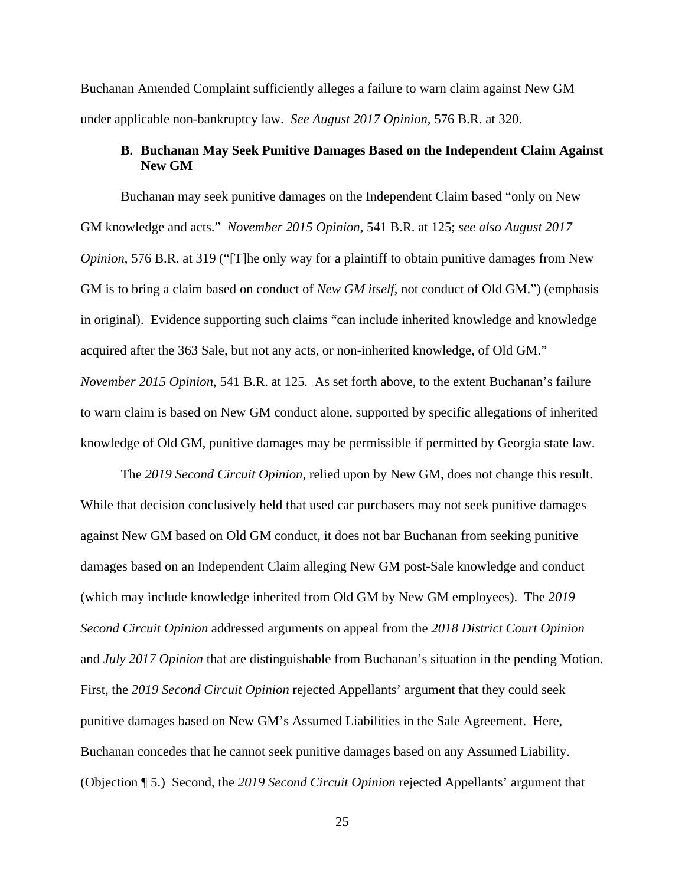Buchanan Amended Complaint sufficiently alleges a failure to warn claim against New GM under applicable non-bankruptcy law. *See August 2017 Opinion*, 576 B.R. at 320.

# **B. Buchanan May Seek Punitive Damages Based on the Independent Claim Against New GM**

Buchanan may seek punitive damages on the Independent Claim based "only on New GM knowledge and acts." *November 2015 Opinion*, 541 B.R. at 125; *see also August 2017 Opinion*, 576 B.R. at 319 ("[T]he only way for a plaintiff to obtain punitive damages from New GM is to bring a claim based on conduct of *New GM itself*, not conduct of Old GM.") (emphasis in original). Evidence supporting such claims "can include inherited knowledge and knowledge acquired after the 363 Sale, but not any acts, or non-inherited knowledge, of Old GM." *November 2015 Opinion*, 541 B.R. at 125*.* As set forth above, to the extent Buchanan's failure to warn claim is based on New GM conduct alone, supported by specific allegations of inherited knowledge of Old GM, punitive damages may be permissible if permitted by Georgia state law.

 The *2019 Second Circuit Opinion*, relied upon by New GM, does not change this result. While that decision conclusively held that used car purchasers may not seek punitive damages against New GM based on Old GM conduct, it does not bar Buchanan from seeking punitive damages based on an Independent Claim alleging New GM post-Sale knowledge and conduct (which may include knowledge inherited from Old GM by New GM employees). The *2019 Second Circuit Opinion* addressed arguments on appeal from the *2018 District Court Opinion* and *July 2017 Opinion* that are distinguishable from Buchanan's situation in the pending Motion. First, the *2019 Second Circuit Opinion* rejected Appellants' argument that they could seek punitive damages based on New GM's Assumed Liabilities in the Sale Agreement. Here, Buchanan concedes that he cannot seek punitive damages based on any Assumed Liability. (Objection ¶ 5.) Second, the *2019 Second Circuit Opinion* rejected Appellants' argument that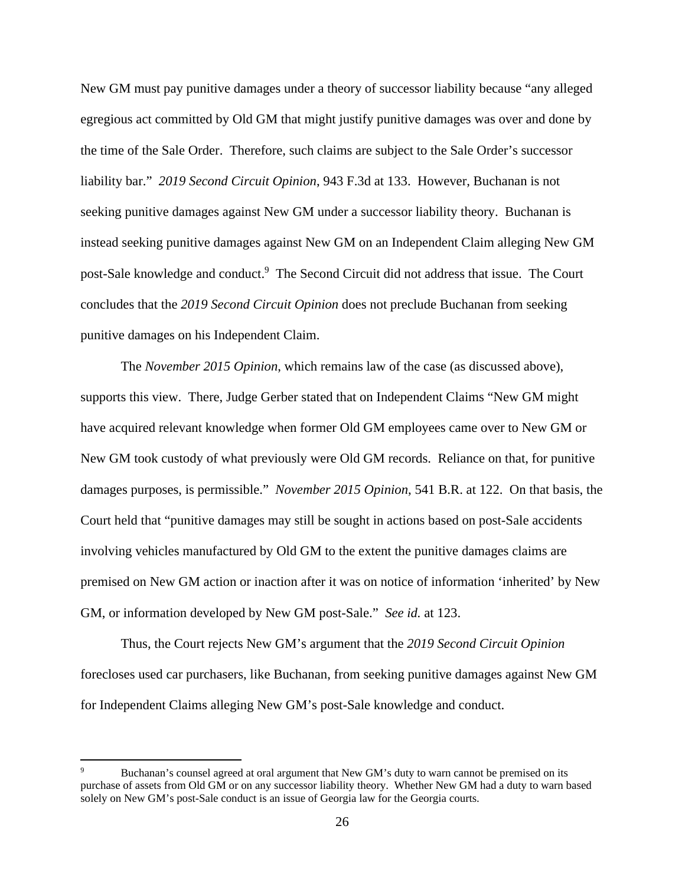New GM must pay punitive damages under a theory of successor liability because "any alleged egregious act committed by Old GM that might justify punitive damages was over and done by the time of the Sale Order. Therefore, such claims are subject to the Sale Order's successor liability bar." *2019 Second Circuit Opinion*, 943 F.3d at 133. However, Buchanan is not seeking punitive damages against New GM under a successor liability theory. Buchanan is instead seeking punitive damages against New GM on an Independent Claim alleging New GM post-Sale knowledge and conduct.<sup>9</sup> The Second Circuit did not address that issue. The Court concludes that the *2019 Second Circuit Opinion* does not preclude Buchanan from seeking punitive damages on his Independent Claim.

The *November 2015 Opinion*, which remains law of the case (as discussed above), supports this view. There, Judge Gerber stated that on Independent Claims "New GM might have acquired relevant knowledge when former Old GM employees came over to New GM or New GM took custody of what previously were Old GM records. Reliance on that, for punitive damages purposes, is permissible." *November 2015 Opinion*, 541 B.R. at 122. On that basis, the Court held that "punitive damages may still be sought in actions based on post-Sale accidents involving vehicles manufactured by Old GM to the extent the punitive damages claims are premised on New GM action or inaction after it was on notice of information 'inherited' by New GM, or information developed by New GM post-Sale." *See id.* at 123.

Thus, the Court rejects New GM's argument that the *2019 Second Circuit Opinion* forecloses used car purchasers, like Buchanan, from seeking punitive damages against New GM for Independent Claims alleging New GM's post-Sale knowledge and conduct.

<sup>9</sup> Buchanan's counsel agreed at oral argument that New GM's duty to warn cannot be premised on its purchase of assets from Old GM or on any successor liability theory. Whether New GM had a duty to warn based solely on New GM's post-Sale conduct is an issue of Georgia law for the Georgia courts.